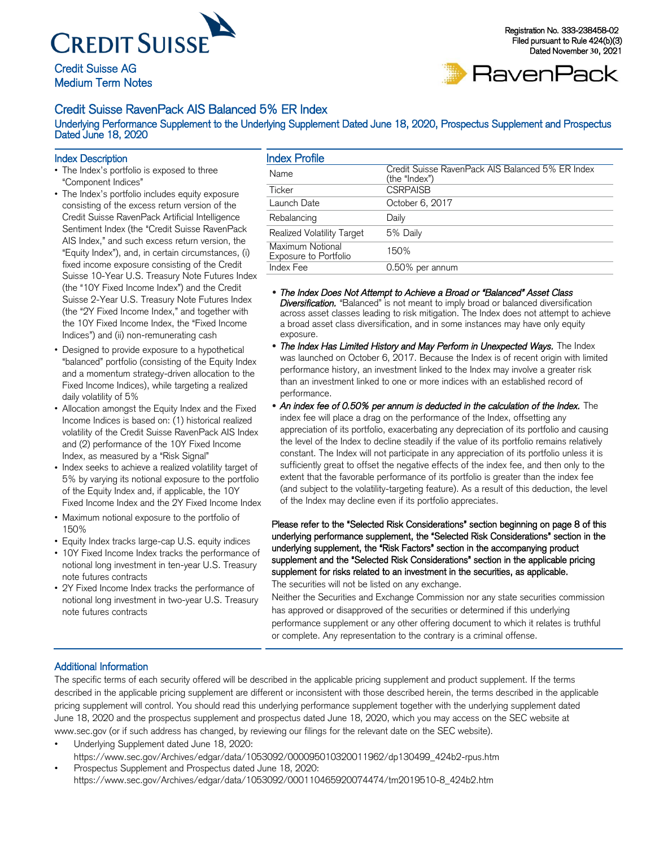

## Credit Suisse AG Medium Term Notes

#### Registration No. 333-238458-02 Filed pursuant to Rule 424(b)(3) Dated November **30**, 2021



## Credit Suisse RavenPack AIS Balanced 5% ER Index

Underlying Performance Supplement to the Underlying Supplement Dated June 18, 2020, Prospectus Supplement and Prospectus Dated June 18, 2020

### Index Description

- The Index's portfolio is exposed to three "Component Indices"
- The Index's portfolio includes equity exposure consisting of the excess return version of the Credit Suisse RavenPack Artificial Intelligence Sentiment Index (the "Credit Suisse RavenPack AIS Index," and such excess return version, the "Equity Index"), and, in certain circumstances, (i) fixed income exposure consisting of the Credit Suisse 10-Year U.S. Treasury Note Futures Index (the "10Y Fixed Income Index") and the Credit Suisse 2-Year U.S. Treasury Note Futures Index (the "2Y Fixed Income Index," and together with the 10Y Fixed Income Index, the "Fixed Income Indices") and (ii) non-remunerating cash
- Designed to provide exposure to a hypothetical "balanced" portfolio (consisting of the Equity Index and a momentum strategy-driven allocation to the Fixed Income Indices), while targeting a realized daily volatility of 5%
- Allocation amongst the Equity Index and the Fixed Income Indices is based on: (1) historical realized volatility of the Credit Suisse RavenPack AIS Index and (2) performance of the 10Y Fixed Income Index, as measured by a "Risk Signal"
- Index seeks to achieve a realized volatility target of 5% by varying its notional exposure to the portfolio of the Equity Index and, if applicable, the 10Y Fixed Income Index and the 2Y Fixed Income Index
- Maximum notional exposure to the portfolio of 150%
- Equity Index tracks large-cap U.S. equity indices
- 10Y Fixed Income Index tracks the performance of notional long investment in ten-year U.S. Treasury note futures contracts
- 2Y Fixed Income Index tracks the performance of notional long investment in two-year U.S. Treasury note futures contracts

| <b>Index Profile</b>                             |                                                                   |
|--------------------------------------------------|-------------------------------------------------------------------|
| Name                                             | Credit Suisse RavenPack AIS Balanced 5% ER Index<br>(the "Index") |
| Ticker                                           | <b>CSRPAISB</b>                                                   |
| Launch Date                                      | October 6, 2017                                                   |
| Rebalancing                                      | Daily                                                             |
| Realized Volatility Target                       | 5% Daily                                                          |
| Maximum Notional<br><b>Exposure to Portfolio</b> | 150%                                                              |
| Index Fee                                        | 0.50% per annum                                                   |

- *The Index Does Not Attempt to Achieve a Broad or "Balanced" Asset Class Diversification.* "Balanced" is not meant to imply broad or balanced diversification across asset classes leading to risk mitigation. The Index does not attempt to achieve a broad asset class diversification, and in some instances may have only equity exposure.
- The Index Has Limited History and May Perform in Unexpected Ways. The Index was launched on October 6, 2017. Because the Index is of recent origin with limited performance history, an investment linked to the Index may involve a greater risk than an investment linked to one or more indices with an established record of performance.
- *An index fee of 0.50% per annum is deducted in the calculation of the Index.* The index fee will place a drag on the performance of the Index, offsetting any appreciation of its portfolio, exacerbating any depreciation of its portfolio and causing the level of the Index to decline steadily if the value of its portfolio remains relatively constant. The Index will not participate in any appreciation of its portfolio unless it is sufficiently great to offset the negative effects of the index fee, and then only to the extent that the favorable performance of its portfolio is greater than the index fee (and subject to the volatility-targeting feature). As a result of this deduction, the level of the Index may decline even if its portfolio appreciates.

Please refer to the "Selected Risk Considerations" section beginning on page 8 of this underlying performance supplement, the "Selected Risk Considerations" section in the underlying supplement, the "Risk Factors" section in the accompanying product supplement and the "Selected Risk Considerations" section in the applicable pricing supplement for risks related to an investment in the securities, as applicable.

The securities will not be listed on any exchange.

Neither the Securities and Exchange Commission nor any state securities commission has approved or disapproved of the securities or determined if this underlying performance supplement or any other offering document to which it relates is truthful or complete. Any representation to the contrary is a criminal offense.

### Additional Information

The specific terms of each security offered will be described in the applicable pricing supplement and product supplement. If the terms described in the applicable pricing supplement are different or inconsistent with those described herein, the terms described in the applicable pricing supplement will control. You should read this underlying performance supplement together with the underlying supplement dated June 18, 2020 and the prospectus supplement and prospectus dated June 18, 2020, which you may access on the SEC website at www.sec.gov (or if such address has changed, by reviewing our filings for the relevant date on the SEC website).

• Underlying Supplement dated June 18, 2020: [https://www.sec.gov/Archives/edgar/data/1053092/000095010320011962/dp130499\\_424b2-rpus.htm](https://www.sec.gov/Archives/edgar/data/1053092/000095010320011962/dp130499_424b2-rpus.htm)

• Prospectus Supplement and Prospectus dated June 18, 2020: [https://www.sec.gov/Archives/edgar/data/1053092/000110465920074474/tm2019510-8\\_424b2.htm](https://www.sec.gov/Archives/edgar/data/1053092/000110465920074474/tm2019510-8_424b2.htm)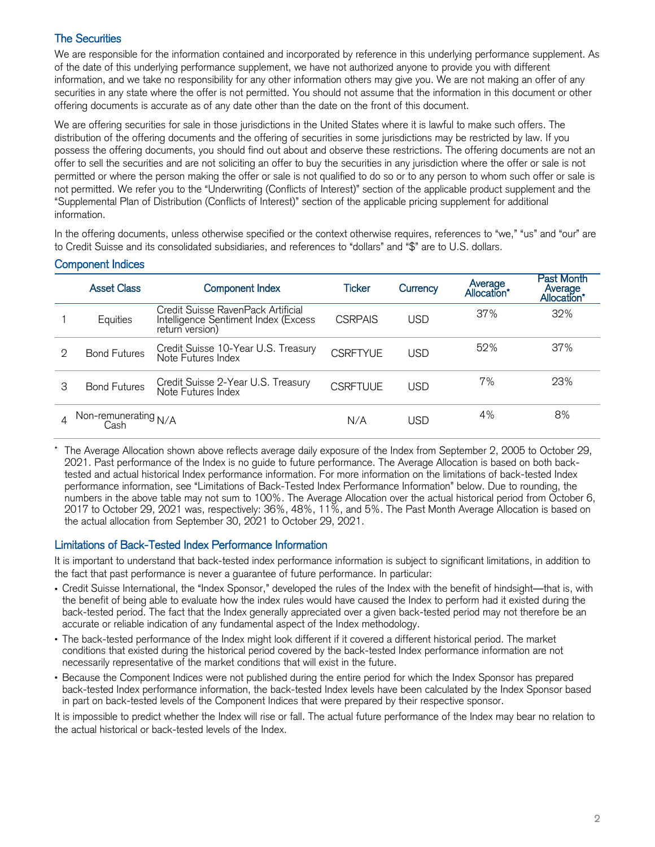# The Securities

We are responsible for the information contained and incorporated by reference in this underlying performance supplement. As of the date of this underlying performance supplement, we have not authorized anyone to provide you with different information, and we take no responsibility for any other information others may give you. We are not making an offer of any securities in any state where the offer is not permitted. You should not assume that the information in this document or other offering documents is accurate as of any date other than the date on the front of this document.

We are offering securities for sale in those jurisdictions in the United States where it is lawful to make such offers. The distribution of the offering documents and the offering of securities in some jurisdictions may be restricted by law. If you possess the offering documents, you should find out about and observe these restrictions. The offering documents are not an offer to sell the securities and are not soliciting an offer to buy the securities in any jurisdiction where the offer or sale is not permitted or where the person making the offer or sale is not qualified to do so or to any person to whom such offer or sale is not permitted. We refer you to the "Underwriting (Conflicts of Interest)" section of the applicable product supplement and the "Supplemental Plan of Distribution (Conflicts of Interest)" section of the applicable pricing supplement for additional information.

In the offering documents, unless otherwise specified or the context otherwise requires, references to "we," "us" and "our" are to Credit Suisse and its consolidated subsidiaries, and references to "dollars" and "\$" are to U.S. dollars.

|               | <b>Asset Class</b>           | <b>Component Index</b>                                                                        | Ticker          | Currency | Average<br>*Allocation | Past Month<br>Average<br>Allocation* |
|---------------|------------------------------|-----------------------------------------------------------------------------------------------|-----------------|----------|------------------------|--------------------------------------|
|               | Equities                     | Credit Suisse RavenPack Artificial<br>Intelligence Sentiment Index (Excess<br>return version) | <b>CSRPAIS</b>  | USD      | 37%                    | 32%                                  |
| $\mathcal{D}$ | <b>Bond Futures</b>          | Credit Suisse 10-Year U.S. Treasury<br>Note Futures Index                                     | <b>CSRETYUE</b> | USD      | 52%                    | 37%                                  |
| 3             | <b>Bond Futures</b>          | Credit Suisse 2-Year U.S. Treasury<br>Note Futures Index                                      | <b>CSRFTUUE</b> | USD      | 7%                     | 23%                                  |
|               | Non-remunerating N/A<br>Cash |                                                                                               | N/A             | USD      | 4%                     | 8%                                   |

## Component Indices

The Average Allocation shown above reflects average daily exposure of the Index from September 2, 2005 to October 29, 2021. Past performance of the Index is no guide to future performance. The Average Allocation is based on both backtested and actual historical Index performance information. For more information on the limitations of back-tested Index performance information, see "Limitations of Back-Tested Index Performance Information" below. Due to rounding, the numbers in the above table may not sum to 100%. The Average Allocation over the actual historical period from October 6, 2017 to October 29, 2021 was, respectively: 36%, 48%, 11%, and 5%. The Past Month Average Allocation is based on the actual allocation from September 30, 2021 to October 29, 2021.

## Limitations of Back-Tested Index Performance Information

It is important to understand that back-tested index performance information is subject to significant limitations, in addition to the fact that past performance is never a guarantee of future performance. In particular:

- Credit Suisse International, the "Index Sponsor," developed the rules of the Index with the benefit of hindsight—that is, with the benefit of being able to evaluate how the index rules would have caused the Index to perform had it existed during the back-tested period. The fact that the Index generally appreciated over a given back-tested period may not therefore be an accurate or reliable indication of any fundamental aspect of the Index methodology.
- The back-tested performance of the Index might look different if it covered a different historical period. The market conditions that existed during the historical period covered by the back-tested Index performance information are not necessarily representative of the market conditions that will exist in the future.
- Because the Component Indices were not published during the entire period for which the Index Sponsor has prepared back-tested Index performance information, the back-tested Index levels have been calculated by the Index Sponsor based in part on back-tested levels of the Component Indices that were prepared by their respective sponsor.

It is impossible to predict whether the Index will rise or fall. The actual future performance of the Index may bear no relation to the actual historical or back-tested levels of the Index.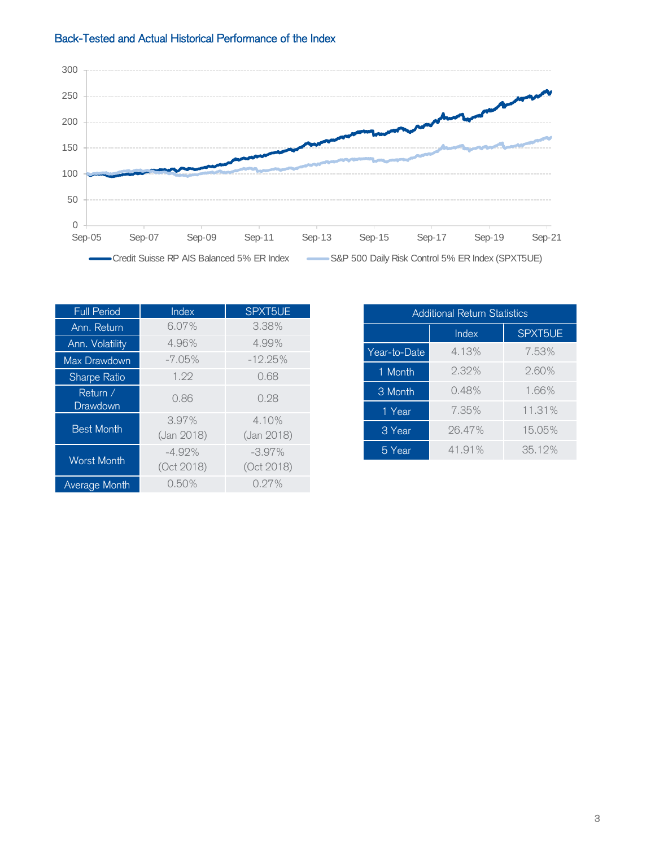



| <b>Full Period</b>   | Index                  | SPXT5UE                |
|----------------------|------------------------|------------------------|
| Ann. Return          | 6.07%                  | 3.38%                  |
| Ann. Volatility      | 4.96%                  | 4.99%                  |
| Max Drawdown         | $-7.05\%$              | $-12.25%$              |
| Sharpe Ratio         | 1.99                   | 0.68                   |
| Return /<br>Drawdown | 0.86                   | 0.28                   |
| <b>Best Month</b>    | 3.97%<br>(Jan 2018)    | 4.10%<br>(Jan 2018)    |
| <b>Worst Month</b>   | $-4.92%$<br>(Oct 2018) | $-3.97%$<br>(Oct 2018) |
| <b>Average Month</b> | 0.50%                  | 0.27%                  |

| <b>Additional Return Statistics</b> |        |         |  |  |  |  |  |
|-------------------------------------|--------|---------|--|--|--|--|--|
|                                     | Index  | SPXT5UE |  |  |  |  |  |
| Year-to-Date                        | 4.13%  | 7.53%   |  |  |  |  |  |
| 1 Month                             | 2.32%  | 2.60%   |  |  |  |  |  |
| 3 Month                             | 0.48%  | 1.66%   |  |  |  |  |  |
| 1 Year                              | 7.35%  | 11.31%  |  |  |  |  |  |
| 3 Year                              | 26.47% | 15.05%  |  |  |  |  |  |
| 5 Year                              | 41.91% | 35.12%  |  |  |  |  |  |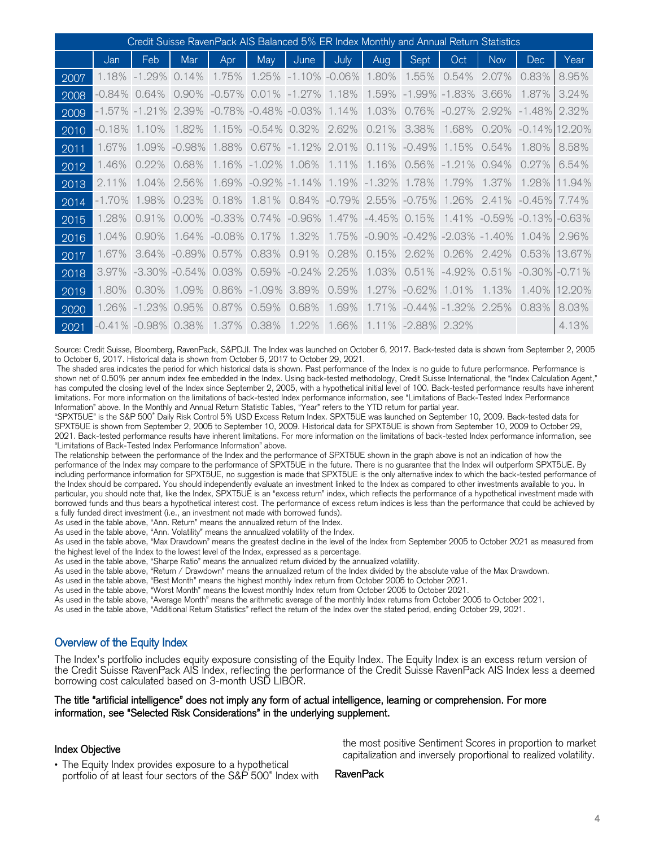| Credit Suisse RavenPack AIS Balanced 5% ER Index Monthly and Annual Return Statistics |              |                   |           |               |                           |              |           |                           |                   |                                   |            |                               |          |
|---------------------------------------------------------------------------------------|--------------|-------------------|-----------|---------------|---------------------------|--------------|-----------|---------------------------|-------------------|-----------------------------------|------------|-------------------------------|----------|
|                                                                                       | Jan          | Feb               | Mar       | Apr           | May                       | June         | July      | Aug                       | Sept              | Oct                               | <b>Nov</b> | <b>Dec</b>                    | Year     |
| 2007                                                                                  | 1.18%        | $-1.29%$          | 14%       | 1.75%         | 1.25%                     | $-1.1$<br>0% | $-0.06\%$ | 1.80%                     | 1.55%             | .54%<br>0.                        | 2.07%      | 0.83%                         | 8.95%    |
| 2008                                                                                  | -0.84%       | .64%<br>$\circ$   | $0.90\%$  | $-0.57\%$     | 0.01%                     | $-1.27%$     | 1.18%     | 1.59%                     | $-1.99\% -1.83\%$ |                                   | 3.66%      | 1.87%                         | 3.24%    |
| 2009                                                                                  | -1.57% -1.21 | $\%$              | 2.39%     |               | $-0.78\% -0.48\% -0.03\%$ |              | 1.14%     | 1.03%                     | 0.76%             | $-0.27%$                          | 2.92%      | $-1.48%$                      | 2.32%    |
| 2010                                                                                  | $-0.18%$     | $0\%$             | 1.82%     | 1.15%         | $-0.54\%$                 | 0.32%        | 2.62%     | 0.21%                     | 3.38%             | 1.68%                             | 0.20%      | $-0.14\%$ 12.20%              |          |
| 2011                                                                                  | 1.67%        | 1.09%             | $-0.98%$  | 1.88%         | 0.67%                     | $-1.12%$     | 2.01%     | 0.11%                     | $-0.49%$          | 1.15%                             | 0.54%      | 1.80%                         | 8.58%    |
| 2012                                                                                  | 1.46%        | 0.22%             | 0.68%     | 1.16%         | $-1.02%$                  | 1.06%        | 1.11%     | 1.16%                     | 0.56%             | $-1.21%$                          | 0.94%      | 0.27%                         | 6.54%    |
| 2013                                                                                  | 2.11%        | 1.04%             | 2.56%     | 1.69%         | $-0.92\%$                 | $-1.14%$     | 1.19%     | $-1.32%$                  | 1.78%             | 1.79%                             | 1.37%      | 1.28%                         | 11.94%   |
| 2014                                                                                  | $-1.70\%$    | 1.98%             | 0.23%     | 0.18%         | 1.81%                     | 0.84%        |           | $-0.79\%$ 2.55% $-0.75\%$ |                   | 1.26%                             | 2.41%      | $-0.45\%$                     | 7.74%    |
| 2015                                                                                  | 1.28%        | 0.91%             | $0.00\%$  | $-0.33\%$     | 0.74%                     | $-0.96%$     |           | 1.47% -4.45% 0.15%        |                   |                                   |            | $1.41\%$ -0.59% -0.13% -0.63% |          |
| 2016                                                                                  | 1.04%        | 0.90%             | 1.64%     | .08%<br>$-$ O | 0.17%                     | 1.32%        | 1.75%     |                           |                   | $-0.90\% -0.42\% -2.03\% -1.40\%$ |            | 1.04%                         | 2.96%    |
| 2017                                                                                  | 1.67%        | 3.64%             | $-0.89\%$ | 0.57%         | 0.83%                     | 0.91%        | 0.28%     | 0.15%                     | 2.62%             | 0.26%                             | 2.42%      | 0.53%                         | 13.67%   |
| 2018                                                                                  | 3.97%        | $-3.30\%$         | $-0.54\%$ | 0.03%         | 0.59%                     | $-0.24%$     | 2.25%     | 1.03%                     | 0.51%             | $-4.92\%$                         | 0.51%      | $-0.30\%$                     | $-0.71%$ |
| 2019                                                                                  | 1.80%        | $0.30\%$          | 1.09%     | 0.86%         | $-1.09\%$                 | 3.89%        | 0.59%     | 1.27%                     | $-0.62%$          | 1.01%                             | 1.13%      | 1.40%                         | 12.20%   |
| 2020                                                                                  | 1.26%        | $-1.23%$          | 0.95%     | 0.87%         | 0.59%                     | 0.68%        | 1.69%     | 1.71<br>$\%$              |                   | $-0.44\% -1.32\%$                 | 2.25%      | 0.83%                         | 8.03%    |
| 2021                                                                                  |              | $-0.41\% -0.98\%$ | 0.38%     | 1.37%         | 0.38%                     | 1.22%        | 1.66%     | $1.11\%$                  | -2.88%            | 2.32%                             |            |                               | 4.13%    |

Source: Credit Suisse, Bloomberg, RavenPack, S&PDJI. The Index was launched on October 6, 2017. Back-tested data is shown from September 2, 2005 to October 6, 2017. Historical data is shown from October 6, 2017 to October 29, 2021.

The shaded area indicates the period for which historical data is shown. Past performance of the Index is no guide to future performance. Performance is shown net of 0.50% per annum index fee embedded in the Index. Using back-tested methodology, Credit Suisse International, the "Index Calculation Agent," has computed the closing level of the Index since September 2, 2005, with a hypothetical initial level of 100. Back-tested performance results have inherent limitations. For more information on the limitations of back-tested Index performance information, see "Limitations of Back-Tested Index Performance Information" above. In the Monthly and Annual Return Statistic Tables, "Year" refers to the YTD return for partial year.

"SPXT5UE" is the S&P 500® Daily Risk Control 5% USD Excess Return Index. SPXT5UE was launched on September 10, 2009. Back-tested data for SPXT5UE is shown from September 2, 2005 to September 10, 2009. Historical data for SPXT5UE is shown from September 10, 2009 to October 29, 2021. Back-tested performance results have inherent limitations. For more information on the limitations of back-tested Index performance information, see "Limitations of Back-Tested Index Performance Information" above.

The relationship between the performance of the Index and the performance of SPXT5UE shown in the graph above is not an indication of how the performance of the Index may compare to the performance of SPXT5UE in the future. There is no guarantee that the Index will outperform SPXT5UE. By including performance information for SPXT5UE, no suggestion is made that SPXT5UE is the only alternative index to which the back-tested performance of the Index should be compared. You should independently evaluate an investment linked to the Index as compared to other investments available to you. In particular, you should note that, like the Index, SPXT5UE is an "excess return" index, which reflects the performance of a hypothetical investment made with borrowed funds and thus bears a hypothetical interest cost. The performance of excess return indices is less than the performance that could be achieved by a fully funded direct investment (i.e., an investment not made with borrowed funds).

As used in the table above, "Ann. Return" means the annualized return of the Index.

As used in the table above, "Ann. Volatility" means the annualized volatility of the Index.

As used in the table above, "Max Drawdown" means the greatest decline in the level of the Index from September 2005 to October 2021 as measured from the highest level of the Index to the lowest level of the Index, expressed as a percentage.

As used in the table above, "Sharpe Ratio" means the annualized return divided by the annualized volatility.

As used in the table above, "Return / Drawdown" means the annualized return of the Index divided by the absolute value of the Max Drawdown.

As used in the table above, "Best Month" means the highest monthly Index return from October 2005 to October 2021.

As used in the table above, "Worst Month" means the lowest monthly Index return from October 2005 to October 2021.

As used in the table above, "Average Month" means the arithmetic average of the monthly Index returns from October 2005 to October 2021.

As used in the table above, "Additional Return Statistics" reflect the return of the Index over the stated period, ending October 29, 2021.

### Overview of the Equity Index

The Index's portfolio includes equity exposure consisting of the Equity Index. The Equity Index is an excess return version of the Credit Suisse RavenPack AIS Index, reflecting the performance of the Credit Suisse RavenPack AIS Index less a deemed borrowing cost calculated based on 3-month USD LIBOR.

#### The title "artificial intelligence" does not imply any form of actual intelligence, learning or comprehension. For more information, see "Selected Risk Considerations" in the underlying supplement.

#### Index Objective

• The Equity Index provides exposure to a hypothetical portfolio of at least four sectors of the S&P 500® Index with the most positive Sentiment Scores in proportion to market capitalization and inversely proportional to realized volatility.

RavenPack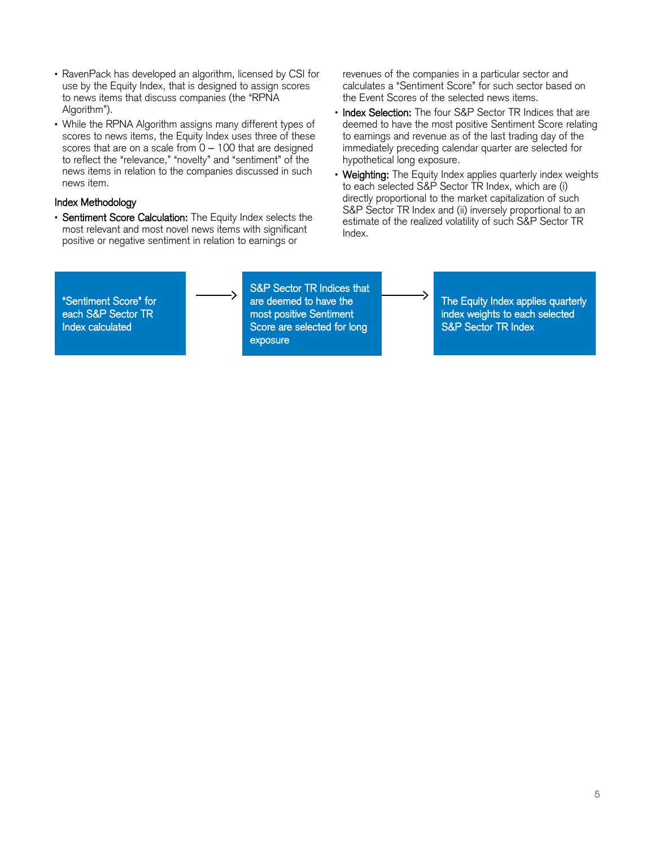- RavenPack has developed an algorithm, licensed by CSI for use by the Equity Index, that is designed to assign scores to news items that discuss companies (the "RPNA Algorithm").
- While the RPNA Algorithm assigns many different types of scores to news items, the Equity Index uses three of these scores that are on a scale from  $0 - 100$  that are designed to reflect the "relevance," "novelty" and "sentiment" of the news items in relation to the companies discussed in such news item.

### Index Methodology

• Sentiment Score Calculation: The Equity Index selects the most relevant and most novel news items with significant positive or negative sentiment in relation to earnings or

revenues of the companies in a particular sector and calculates a "Sentiment Score" for such sector based on the Event Scores of the selected news items.

- Index Selection: The four S&P Sector TR Indices that are deemed to have the most positive Sentiment Score relating to earnings and revenue as of the last trading day of the immediately preceding calendar quarter are selected for hypothetical long exposure.
- Weighting: The Equity Index applies quarterly index weights to each selected S&P Sector TR Index, which are (i) directly proportional to the market capitalization of such S&P Sector TR Index and (ii) inversely proportional to an estimate of the realized volatility of such S&P Sector TR Index.

"Sentiment Score" for each S&P Sector TR Index calculated

S&P Sector TR Indices that are deemed to have the most positive Sentiment Score are selected for long exposure

The Equity Index applies quarterly index weights to each selected S&P Sector TR Index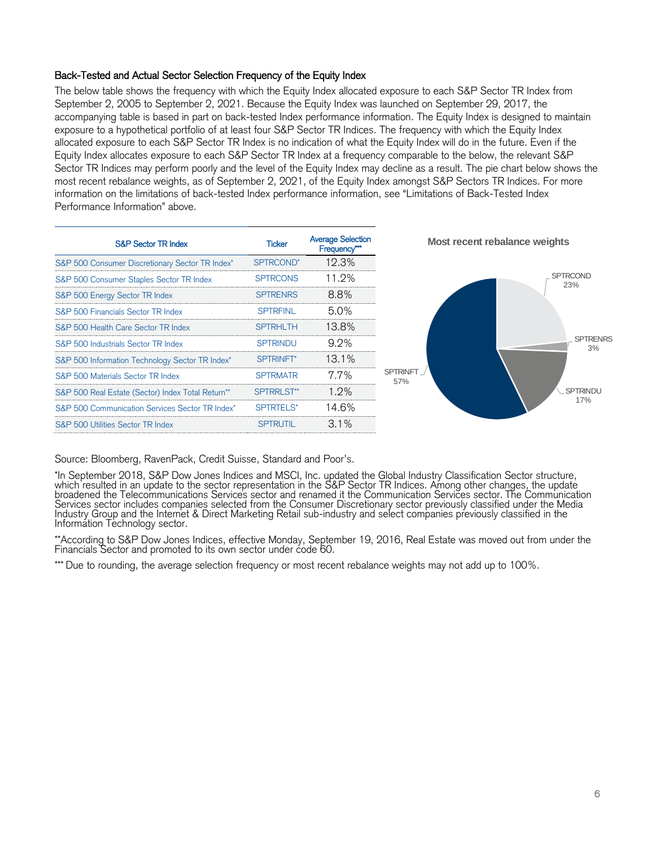### Back-Tested and Actual Sector Selection Frequency of the Equity Index

The below table shows the frequency with which the Equity Index allocated exposure to each S&P Sector TR Index from September 2, 2005 to September 2, 2021. Because the Equity Index was launched on September 29, 2017, the accompanying table is based in part on back-tested Index performance information. The Equity Index is designed to maintain exposure to a hypothetical portfolio of at least four S&P Sector TR Indices. The frequency with which the Equity Index allocated exposure to each S&P Sector TR Index is no indication of what the Equity Index will do in the future. Even if the Equity Index allocates exposure to each S&P Sector TR Index at a frequency comparable to the below, the relevant S&P Sector TR Indices may perform poorly and the level of the Equity Index may decline as a result. The pie chart below shows the most recent rebalance weights, as of September 2, 2021, of the Equity Index amongst S&P Sectors TR Indices. For more information on the limitations of back-tested Index performance information, see "Limitations of Back-Tested Index Performance Information" above.

| <b>S&amp;P Sector TR Index</b>                    | <b>Ticker</b>   | <b>Average Selection</b><br>Frequency*** |                   |
|---------------------------------------------------|-----------------|------------------------------------------|-------------------|
| S&P 500 Consumer Discretionary Sector TR Index*   | SPTRCOND*       | 12.3%                                    |                   |
| S&P 500 Consumer Staples Sector TR Index          | <b>SPTRCONS</b> | 11.2%                                    |                   |
| S&P 500 Energy Sector TR Index                    | <b>SPTRENRS</b> | 8.8%                                     |                   |
| S&P 500 Financials Sector TR Index                | <b>SPTREINI</b> | 5.0%                                     |                   |
| S&P 500 Health Care Sector TR Index               | <b>SPTRHLTH</b> | 13.8%                                    |                   |
| S&P 500 Industrials Sector TR Index               | <b>SPTRINDU</b> | 9.2%                                     |                   |
| S&P 500 Information Technology Sector TR Index*   | SPTRINFT*       | 13.1%                                    |                   |
| S&P 500 Materials Sector TR Index                 | <b>SPTRMATR</b> | 7.7%                                     | <b>SPTR</b><br>57 |
| S&P 500 Real Estate (Sector) Index Total Return** | SPTRRLST**      | $1.9\%$                                  |                   |
| S&P 500 Communication Services Sector TR Index*   | SPTRTELS*       | 14.6%                                    |                   |
| S&P 500 Utilities Sector TR Index                 | <b>SPTRUTIL</b> | $3.1\%$                                  |                   |



Source: Bloomberg, RavenPack, Credit Suisse, Standard and Poor's.

\*In September 2018, S&P Dow Jones Indices and MSCI, Inc. updated the Global Industry Classification Sector structure, which resulted in an update to the sector representation in the S&P Sector TR Indices. Among other changes, the update broadened the Telecommunications Services sector and renamed it the Communication Services sector. The Communication Services sector includes companies selected from the Consumer Discretionary sector previously classified under the Media Industry Group and the Internet & Direct Marketing Retail sub-industry and select companies previously classified in the Information Technology sector.

\*\*According to S&P Dow Jones Indices, effective Monday, September 19, 2016, Real Estate was moved out from under the Financials Sector and promoted to its own sector under code 60.

\*\*\* Due to rounding, the average selection frequency or most recent rebalance weights may not add up to 100%.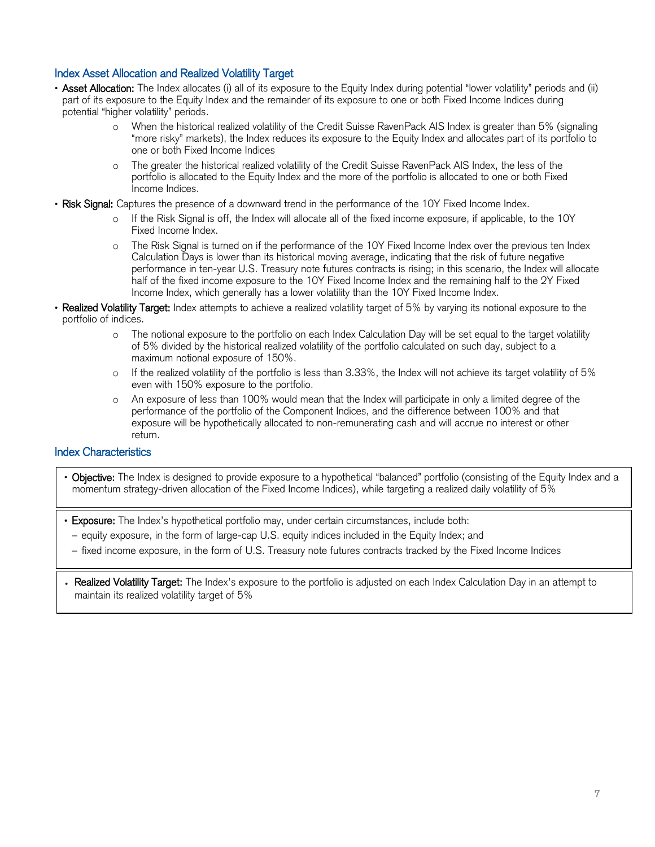## Index Asset Allocation and Realized Volatility Target

- Asset Allocation: The Index allocates (i) all of its exposure to the Equity Index during potential "lower volatility" periods and (ii) part of its exposure to the Equity Index and the remainder of its exposure to one or both Fixed Income Indices during potential "higher volatility" periods.
	- o When the historical realized volatility of the Credit Suisse RavenPack AIS Index is greater than 5% (signaling "more risky" markets), the Index reduces its exposure to the Equity Index and allocates part of its portfolio to one or both Fixed Income Indices
	- The greater the historical realized volatility of the Credit Suisse RavenPack AIS Index, the less of the portfolio is allocated to the Equity Index and the more of the portfolio is allocated to one or both Fixed Income Indices.
- Risk Signal: Captures the presence of a downward trend in the performance of the 10Y Fixed Income Index.
	- o If the Risk Signal is off, the Index will allocate all of the fixed income exposure, if applicable, to the 10Y Fixed Income Index.
	- o The Risk Signal is turned on if the performance of the 10Y Fixed Income Index over the previous ten Index Calculation Days is lower than its historical moving average, indicating that the risk of future negative performance in ten-year U.S. Treasury note futures contracts is rising; in this scenario, the Index will allocate half of the fixed income exposure to the 10Y Fixed Income Index and the remaining half to the 2Y Fixed Income Index, which generally has a lower volatility than the 10Y Fixed Income Index.
- Realized Volatility Target: Index attempts to achieve a realized volatility target of 5% by varying its notional exposure to the portfolio of indices.
	- o The notional exposure to the portfolio on each Index Calculation Day will be set equal to the target volatility of 5% divided by the historical realized volatility of the portfolio calculated on such day, subject to a maximum notional exposure of 150%.
	- o If the realized volatility of the portfolio is less than 3.33%, the Index will not achieve its target volatility of 5% even with 150% exposure to the portfolio.
	- An exposure of less than 100% would mean that the Index will participate in only a limited degree of the performance of the portfolio of the Component Indices, and the difference between 100% and that exposure will be hypothetically allocated to non-remunerating cash and will accrue no interest or other return.

## Index Characteristics

l

 $\overline{a}$ 

- Objective: The Index is designed to provide exposure to a hypothetical "balanced" portfolio (consisting of the Equity Index and a momentum strategy-driven allocation of the Fixed Income Indices), while targeting a realized daily volatility of 5%
- Exposure: The Index's hypothetical portfolio may, under certain circumstances, include both:
	- equity exposure, in the form of large-cap U.S. equity indices included in the Equity Index; and
	- fixed income exposure, in the form of U.S. Treasury note futures contracts tracked by the Fixed Income Indices
- . Realized Volatility Target: The Index's exposure to the portfolio is adjusted on each Index Calculation Day in an attempt to maintain its realized volatility target of 5%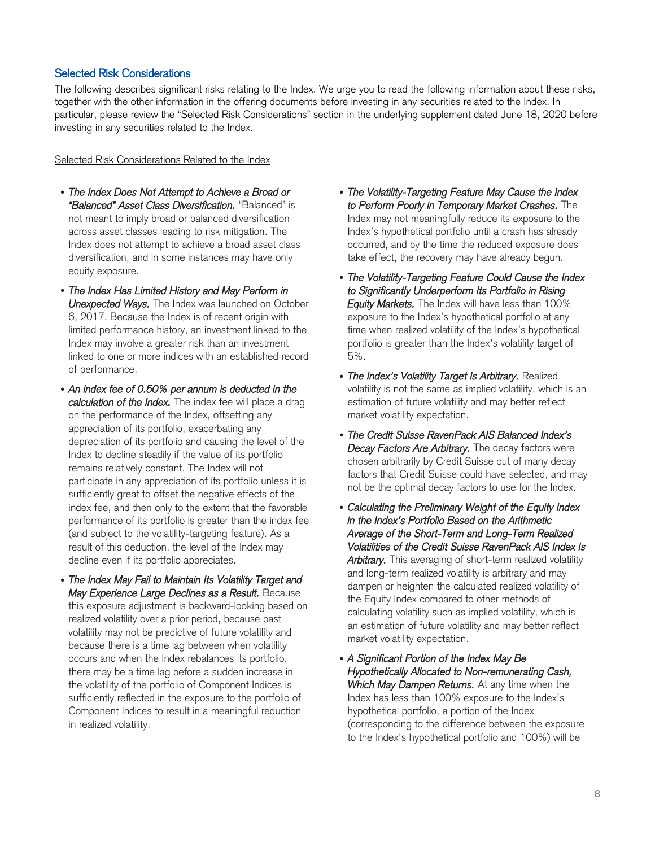### Selected Risk Considerations

The following describes significant risks relating to the Index. We urge you to read the following information about these risks, together with the other information in the offering documents before investing in any securities related to the Index. In particular, please review the "Selected Risk Considerations" section in the underlying supplement dated June 18, 2020 before investing in any securities related to the Index.

Selected Risk Considerations Related to the Index

- *The Index Does Not Attempt to Achieve a Broad or "Balanced" Asset Class Diversification.* "Balanced" is not meant to imply broad or balanced diversification across asset classes leading to risk mitigation. The Index does not attempt to achieve a broad asset class diversification, and in some instances may have only equity exposure.
- *The Index Has Limited History and May Perform in Unexpected Ways.* The Index was launched on October 6, 2017. Because the Index is of recent origin with limited performance history, an investment linked to the Index may involve a greater risk than an investment linked to one or more indices with an established record of performance.
- *An index fee of 0.50% per annum is deducted in the calculation of the Index.* The index fee will place a drag on the performance of the Index, offsetting any appreciation of its portfolio, exacerbating any depreciation of its portfolio and causing the level of the Index to decline steadily if the value of its portfolio remains relatively constant. The Index will not participate in any appreciation of its portfolio unless it is sufficiently great to offset the negative effects of the index fee, and then only to the extent that the favorable performance of its portfolio is greater than the index fee (and subject to the volatility-targeting feature). As a result of this deduction, the level of the Index may decline even if its portfolio appreciates.
- *The Index May Fail to Maintain Its Volatility Target and May Experience Large Declines as a Result.* Because this exposure adjustment is backward-looking based on realized volatility over a prior period, because past volatility may not be predictive of future volatility and because there is a time lag between when volatility occurs and when the Index rebalances its portfolio, there may be a time lag before a sudden increase in the volatility of the portfolio of Component Indices is sufficiently reflected in the exposure to the portfolio of Component Indices to result in a meaningful reduction in realized volatility.
- *The Volatility-Targeting Feature May Cause the Index to Perform Poorly in Temporary Market Crashes.* The Index may not meaningfully reduce its exposure to the Index's hypothetical portfolio until a crash has already occurred, and by the time the reduced exposure does take effect, the recovery may have already begun.
- *The Volatility-Targeting Feature Could Cause the Index to Significantly Underperform Its Portfolio in Rising Equity Markets.* The Index will have less than 100% exposure to the Index's hypothetical portfolio at any time when realized volatility of the Index's hypothetical portfolio is greater than the Index's volatility target of 5%.
- *The Index's Volatility Target Is Arbitrary.* Realized volatility is not the same as implied volatility, which is an estimation of future volatility and may better reflect market volatility expectation.
- *The Credit Suisse RavenPack AIS Balanced Index's Decay Factors Are Arbitrary.* The decay factors were chosen arbitrarily by Credit Suisse out of many decay factors that Credit Suisse could have selected, and may not be the optimal decay factors to use for the Index.
- *Calculating the Preliminary Weight of the Equity Index in the Index's Portfolio Based on the Arithmetic Average of the Short-Term and Long-Term Realized Volatilities of the Credit Suisse RavenPack AIS Index Is Arbitrary.* This averaging of short-term realized volatility and long-term realized volatility is arbitrary and may dampen or heighten the calculated realized volatility of the Equity Index compared to other methods of calculating volatility such as implied volatility, which is an estimation of future volatility and may better reflect market volatility expectation.
- *A Significant Portion of the Index May Be Hypothetically Allocated to Non-remunerating Cash, Which May Dampen Returns.* At any time when the Index has less than 100% exposure to the Index's hypothetical portfolio, a portion of the Index (corresponding to the difference between the exposure to the Index's hypothetical portfolio and 100%) will be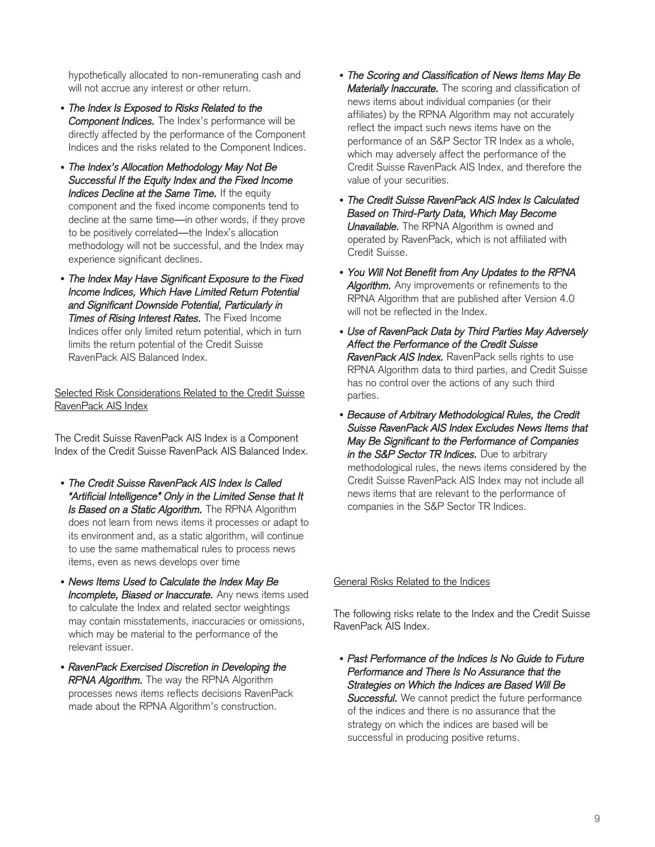hypothetically allocated to non-remunerating cash and will not accrue any interest or other return.

- *The Index Is Exposed to Risks Related to the Component Indices.* The Index's performance will be directly affected by the performance of the Component Indices and the risks related to the Component Indices.
- *The Index's Allocation Methodology May Not Be Successful If the Equity Index and the Fixed Income Indices Decline at the Same Time.* If the equity component and the fixed income components tend to decline at the same time—in other words, if they prove to be positively correlated—the Index's allocation methodology will not be successful, and the Index may experience significant declines.
- *The Index May Have Significant Exposure to the Fixed Income Indices, Which Have Limited Return Potential and Significant Downside Potential, Particularly in Times of Rising Interest Rates.* The Fixed Income Indices offer only limited return potential, which in turn limits the return potential of the Credit Suisse RavenPack AIS Balanced Index.

Selected Risk Considerations Related to the Credit Suisse RavenPack AIS Index

The Credit Suisse RavenPack AIS Index is a Component Index of the Credit Suisse RavenPack AIS Balanced Index.

- *The Credit Suisse RavenPack AIS Index Is Called "Artificial Intelligence" Only in the Limited Sense that It Is Based on a Static Algorithm.* The RPNA Algorithm does not learn from news items it processes or adapt to its environment and, as a static algorithm, will continue to use the same mathematical rules to process news items, even as news develops over time
- *News Items Used to Calculate the Index May Be Incomplete, Biased or Inaccurate.* Any news items used to calculate the Index and related sector weightings may contain misstatements, inaccuracies or omissions, which may be material to the performance of the relevant issuer.
- *RavenPack Exercised Discretion in Developing the RPNA Algorithm.* The way the RPNA Algorithm processes news items reflects decisions RavenPack made about the RPNA Algorithm's construction.
- *The Scoring and Classification of News Items May Be Materially Inaccurate.* The scoring and classification of news items about individual companies (or their affiliates) by the RPNA Algorithm may not accurately reflect the impact such news items have on the performance of an S&P Sector TR Index as a whole, which may adversely affect the performance of the Credit Suisse RavenPack AIS Index, and therefore the value of your securities.
- *The Credit Suisse RavenPack AIS Index Is Calculated Based on Third-Party Data, Which May Become Unavailable.* The RPNA Algorithm is owned and operated by RavenPack, which is not affiliated with Credit Suisse.
- *You Will Not Benefit from Any Updates to the RPNA Algorithm.* Any improvements or refinements to the RPNA Algorithm that are published after Version 4.0 will not be reflected in the Index.
- *Use of RavenPack Data by Third Parties May Adversely Affect the Performance of the Credit Suisse RavenPack AIS Index.* RavenPack sells rights to use RPNA Algorithm data to third parties, and Credit Suisse has no control over the actions of any such third parties.
- *Because of Arbitrary Methodological Rules, the Credit Suisse RavenPack AIS Index Excludes News Items that May Be Significant to the Performance of Companies in the S&P Sector TR Indices.* Due to arbitrary methodological rules, the news items considered by the Credit Suisse RavenPack AIS Index may not include all news items that are relevant to the performance of companies in the S&P Sector TR Indices.

General Risks Related to the Indices

The following risks relate to the Index and the Credit Suisse RavenPack AIS Index.

• *Past Performance of the Indices Is No Guide to Future Performance and There Is No Assurance that the Strategies on Which the Indices are Based Will Be Successful.* We cannot predict the future performance of the indices and there is no assurance that the strategy on which the indices are based will be successful in producing positive returns.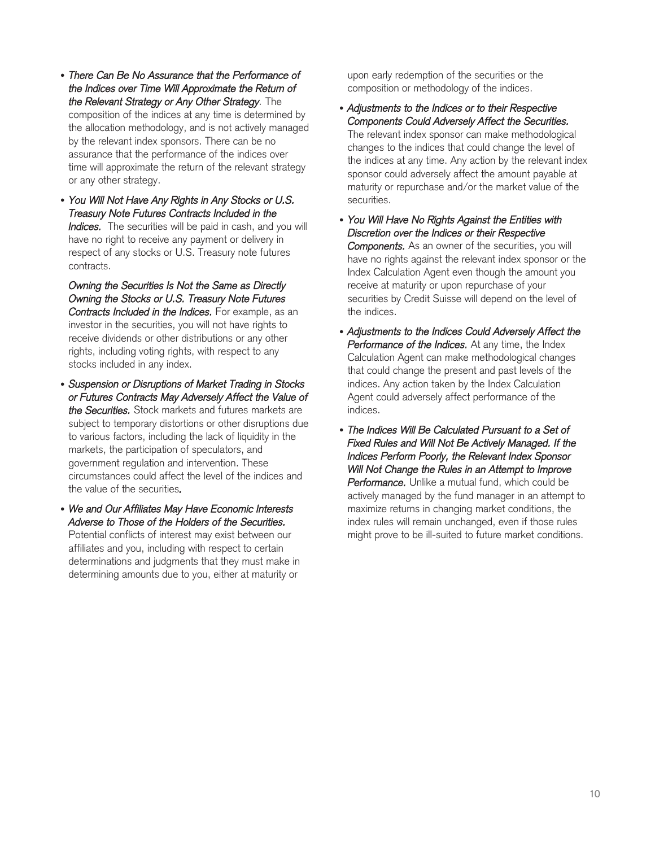- *There Can Be No Assurance that the Performance of the Indices over Time Will Approximate the Return of the Relevant Strategy or Any Other Strategy.* The composition of the indices at any time is determined by the allocation methodology, and is not actively managed by the relevant index sponsors. There can be no assurance that the performance of the indices over time will approximate the return of the relevant strategy or any other strategy.
- *You Will Not Have Any Rights in Any Stocks or U.S. Treasury Note Futures Contracts Included in the Indices.* The securities will be paid in cash, and you will have no right to receive any payment or delivery in respect of any stocks or U.S. Treasury note futures contracts.

*Owning the Securities Is Not the Same as Directly Owning the Stocks or U.S. Treasury Note Futures Contracts Included in the Indices.* For example, as an investor in the securities, you will not have rights to receive dividends or other distributions or any other rights, including voting rights, with respect to any stocks included in any index.

- *Suspension or Disruptions of Market Trading in Stocks or Futures Contracts May Adversely Affect the Value of the Securities.* Stock markets and futures markets are subject to temporary distortions or other disruptions due to various factors, including the lack of liquidity in the markets, the participation of speculators, and government regulation and intervention. These circumstances could affect the level of the indices and the value of the securities*.*
- *We and Our Affiliates May Have Economic Interests Adverse to Those of the Holders of the Securities.*  Potential conflicts of interest may exist between our affiliates and you, including with respect to certain determinations and judgments that they must make in determining amounts due to you, either at maturity or

upon early redemption of the securities or the composition or methodology of the indices.

- *Adjustments to the Indices or to their Respective Components Could Adversely Affect the Securities.* The relevant index sponsor can make methodological changes to the indices that could change the level of the indices at any time. Any action by the relevant index sponsor could adversely affect the amount payable at maturity or repurchase and/or the market value of the securities.
- *You Will Have No Rights Against the Entities with Discretion over the Indices or their Respective Components.* As an owner of the securities, you will have no rights against the relevant index sponsor or the Index Calculation Agent even though the amount you receive at maturity or upon repurchase of your securities by Credit Suisse will depend on the level of the indices.
- *Adjustments to the Indices Could Adversely Affect the Performance of the Indices.* At any time, the Index Calculation Agent can make methodological changes that could change the present and past levels of the indices. Any action taken by the Index Calculation Agent could adversely affect performance of the indices.
- *The Indices Will Be Calculated Pursuant to a Set of Fixed Rules and Will Not Be Actively Managed. If the Indices Perform Poorly, the Relevant Index Sponsor Will Not Change the Rules in an Attempt to Improve Performance.* Unlike a mutual fund, which could be actively managed by the fund manager in an attempt to maximize returns in changing market conditions, the index rules will remain unchanged, even if those rules might prove to be ill-suited to future market conditions.